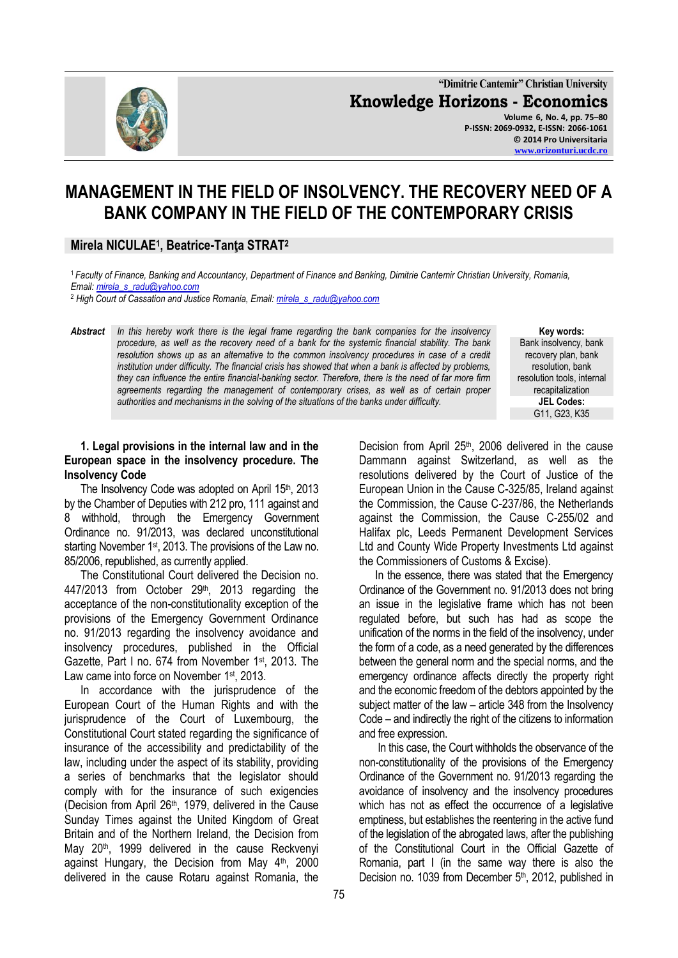

**"Dimitrie Cantemir" Christian University Knowledge Horizons - Economics Volume 6, No. 4, pp. 75–80 P-ISSN: 2069-0932, E-ISSN: 2066-1061 © 2014 Pro Universitaria [www.orizonturi.ucdc.ro](http://www.orizonturi.ucdc.ro/)**

# **MANAGEMENT IN THE FIELD OF INSOLVENCY. THE RECOVERY NEED OF A BANK COMPANY IN THE FIELD OF THE CONTEMPORARY CRISIS**

# **Mirela NICULAE<sup>1</sup> , Beatrice-Tanţa STRAT<sup>2</sup>**

<sup>1</sup>*Faculty of Finance, Banking and Accountancy, Department of Finance and Banking, Dimitrie Cantemir Christian University, Romania, Email: [mirela\\_s\\_radu@yahoo.com](mailto:mirela_s_radu@yahoo.com)*

<sup>2</sup> *High Court of Cassation and Justice Romania, Email: [mirela\\_s\\_radu@yahoo.com](mailto:mirela_s_radu@yahoo.com)*

*Abstract In this hereby work there is the legal frame regarding the bank companies for the insolvency procedure, as well as the recovery need of a bank for the systemic financial stability. The bank resolution shows up as an alternative to the common insolvency procedures in case of a credit institution under difficulty. The financial crisis has showed that when a bank is affected by problems, they can influence the entire financial-banking sector. Therefore, there is the need of far more firm agreements regarding the management of contemporary crises, as well as of certain proper authorities and mechanisms in the solving of the situations of the banks under difficulty.* 

**Key words:** Bank insolvency, bank recovery plan, bank resolution, bank resolution tools, internal recapitalization **JEL Codes:** G11, G23, K35

## **1. Legal provisions in the internal law and in the European space in the insolvency procedure. The Insolvency Code**

The Insolvency Code was adopted on April 15<sup>th</sup>, 2013 by the Chamber of Deputies with 212 pro, 111 against and 8 withhold, through the Emergency Government Ordinance no. 91/2013, was declared unconstitutional starting November 1<sup>st</sup>, 2013. The provisions of the Law no. 85/2006, republished, as currently applied.

The Constitutional Court delivered the Decision no.  $447/2013$  from October  $29<sup>th</sup>$ , 2013 regarding the acceptance of the non-constitutionality exception of the provisions of the Emergency Government Ordinance no. 91/2013 regarding the insolvency avoidance and insolvency procedures, published in the Official Gazette, Part I no. 674 from November 1st, 2013. The Law came into force on November 1<sup>st</sup>, 2013.

In accordance with the jurisprudence of the European Court of the Human Rights and with the jurisprudence of the Court of Luxembourg, the Constitutional Court stated regarding the significance of insurance of the accessibility and predictability of the law, including under the aspect of its stability, providing a series of benchmarks that the legislator should comply with for the insurance of such exigencies (Decision from April 26th, 1979, delivered in the Cause Sunday Times against the United Kingdom of Great Britain and of the Northern Ireland, the Decision from May 20<sup>th</sup>, 1999 delivered in the cause Reckvenyi against Hungary, the Decision from May  $4<sup>th</sup>$ , 2000 delivered in the cause Rotaru against Romania, the

Decision from April 25<sup>th</sup>, 2006 delivered in the cause Dammann against Switzerland, as well as the resolutions delivered by the Court of Justice of the European Union in the Cause C-325/85, Ireland against the Commission, the Cause C-237/86, the Netherlands against the Commission, the Cause C-255/02 and Halifax plc, Leeds Permanent Development Services Ltd and County Wide Property Investments Ltd against the Commissioners of Customs & Excise).

In the essence, there was stated that the Emergency Ordinance of the Government no. 91/2013 does not bring an issue in the legislative frame which has not been regulated before, but such has had as scope the unification of the norms in the field of the insolvency, under the form of a code, as a need generated by the differences between the general norm and the special norms, and the emergency ordinance affects directly the property right and the economic freedom of the debtors appointed by the subject matter of the law – article 348 from the Insolvency Code – and indirectly the right of the citizens to information and free expression.

In this case, the Court withholds the observance of the non-constitutionality of the provisions of the Emergency Ordinance of the Government no. 91/2013 regarding the avoidance of insolvency and the insolvency procedures which has not as effect the occurrence of a legislative emptiness, but establishes the reentering in the active fund of the legislation of the abrogated laws, after the publishing of the Constitutional Court in the Official Gazette of Romania, part I (in the same way there is also the Decision no. 1039 from December 5<sup>th</sup>, 2012, published in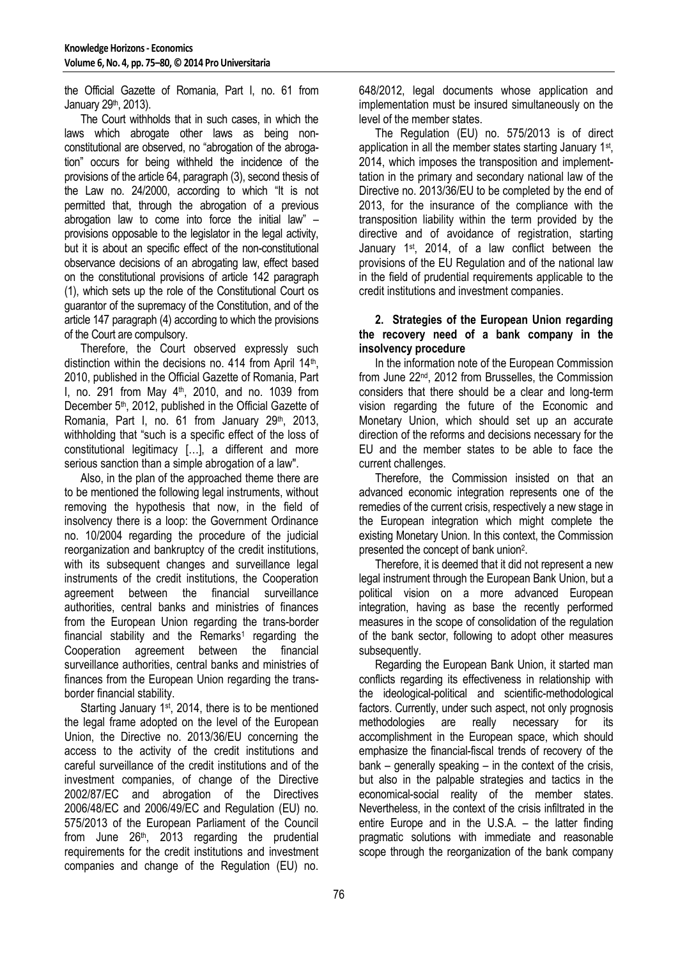the Official Gazette of Romania, Part I, no. 61 from January 29<sup>th</sup>, 2013).

The Court withholds that in such cases, in which the laws which abrogate other laws as being nonconstitutional are observed, no "abrogation of the abrogation" occurs for being withheld the incidence of the provisions of the article 64, paragraph (3), second thesis of the Law no. 24/2000, according to which "It is not permitted that, through the abrogation of a previous abrogation law to come into force the initial law" – provisions opposable to the legislator in the legal activity, but it is about an specific effect of the non-constitutional observance decisions of an abrogating law, effect based on the constitutional provisions of article 142 paragraph (1), which sets up the role of the Constitutional Court os guarantor of the supremacy of the Constitution, and of the article 147 paragraph (4) according to which the provisions of the Court are compulsory.

Therefore, the Court observed expressly such distinction within the decisions no. 414 from April  $14<sup>th</sup>$ , 2010, published in the Official Gazette of Romania, Part I, no. 291 from May  $4<sup>th</sup>$ , 2010, and no. 1039 from December 5<sup>th</sup>, 2012, published in the Official Gazette of Romania, Part I, no. 61 from January 29<sup>th</sup>, 2013, withholding that "such is a specific effect of the loss of constitutional legitimacy […], a different and more serious sanction than a simple abrogation of a law".

Also, in the plan of the approached theme there are to be mentioned the following legal instruments, without removing the hypothesis that now, in the field of insolvency there is a loop: the Government Ordinance no. 10/2004 regarding the procedure of the judicial reorganization and bankruptcy of the credit institutions, with its subsequent changes and surveillance legal instruments of the credit institutions, the Cooperation agreement between the financial surveillance authorities, central banks and ministries of finances from the European Union regarding the trans-border financial stability and the Remarks<sup>1</sup> regarding the Cooperation agreement between the financial surveillance authorities, central banks and ministries of finances from the European Union regarding the transborder financial stability.

Starting January 1st, 2014, there is to be mentioned the legal frame adopted on the level of the European Union, the Directive no. 2013/36/EU concerning the access to the activity of the credit institutions and careful surveillance of the credit institutions and of the investment companies, of change of the Directive 2002/87/EC and abrogation of the Directives 2006/48/EC and 2006/49/EC and Regulation (EU) no. 575/2013 of the European Parliament of the Council from June 26<sup>th</sup>, 2013 regarding the prudential requirements for the credit institutions and investment companies and change of the Regulation (EU) no.

648/2012, legal documents whose application and implementation must be insured simultaneously on the level of the member states.

The Regulation (EU) no. 575/2013 is of direct application in all the member states starting January 1<sup>st</sup>, 2014, which imposes the transposition and implementtation in the primary and secondary national law of the Directive no. 2013/36/EU to be completed by the end of 2013, for the insurance of the compliance with the transposition liability within the term provided by the directive and of avoidance of registration, starting January 1st, 2014, of a law conflict between the provisions of the EU Regulation and of the national law in the field of prudential requirements applicable to the credit institutions and investment companies.

## **2. Strategies of the European Union regarding the recovery need of a bank company in the insolvency procedure**

In the information note of the European Commission from June 22nd, 2012 from Brusselles, the Commission considers that there should be a clear and long-term vision regarding the future of the Economic and Monetary Union, which should set up an accurate direction of the reforms and decisions necessary for the EU and the member states to be able to face the current challenges.

Therefore, the Commission insisted on that an advanced economic integration represents one of the remedies of the current crisis, respectively a new stage in the European integration which might complete the existing Monetary Union. In this context, the Commission presented the concept of bank union<sup>2</sup>.

Therefore, it is deemed that it did not represent a new legal instrument through the European Bank Union, but a political vision on a more advanced European integration, having as base the recently performed measures in the scope of consolidation of the regulation of the bank sector, following to adopt other measures subsequently.

Regarding the European Bank Union, it started man conflicts regarding its effectiveness in relationship with the ideological-political and scientific-methodological factors. Currently, under such aspect, not only prognosis methodologies are really necessary for its accomplishment in the European space, which should emphasize the financial-fiscal trends of recovery of the bank – generally speaking – in the context of the crisis, but also in the palpable strategies and tactics in the economical-social reality of the member states. Nevertheless, in the context of the crisis infiltrated in the entire Europe and in the U.S.A. – the latter finding pragmatic solutions with immediate and reasonable scope through the reorganization of the bank company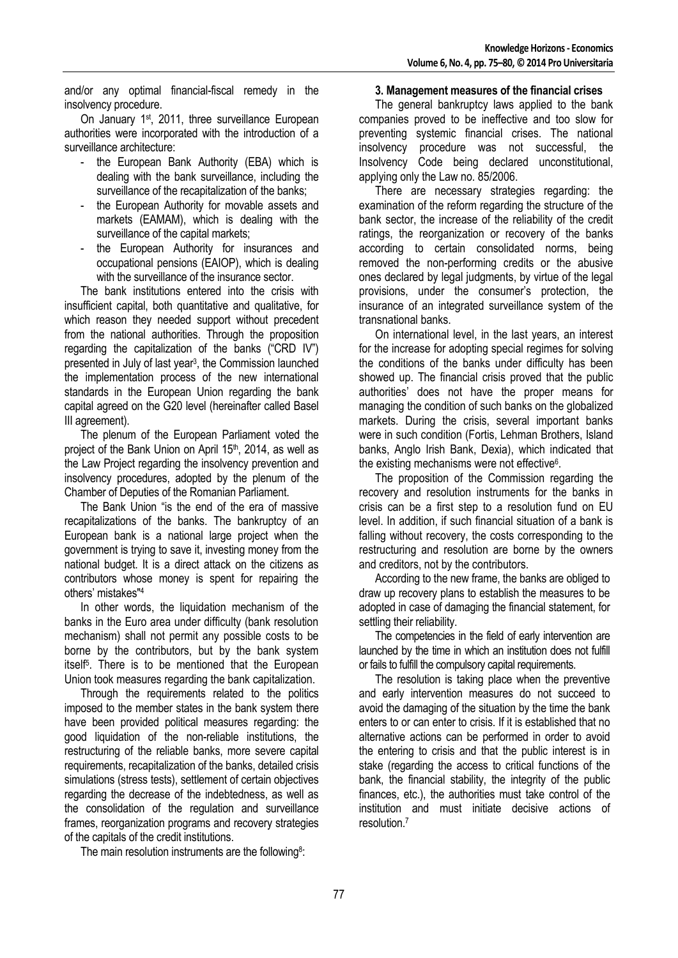and/or any optimal financial-fiscal remedy in the insolvency procedure.

On January 1<sup>st</sup>, 2011, three surveillance European authorities were incorporated with the introduction of a surveillance architecture:

- the European Bank Authority (EBA) which is dealing with the bank surveillance, including the surveillance of the recapitalization of the banks;
- the European Authority for movable assets and markets (EAMAM), which is dealing with the surveillance of the capital markets;
- the European Authority for insurances and occupational pensions (EAIOP), which is dealing with the surveillance of the insurance sector.

The bank institutions entered into the crisis with insufficient capital, both quantitative and qualitative, for which reason they needed support without precedent from the national authorities. Through the proposition regarding the capitalization of the banks ("CRD IV") presented in July of last year<sup>3</sup>, the Commission launched the implementation process of the new international standards in the European Union regarding the bank capital agreed on the G20 level (hereinafter called Basel III agreement).

The plenum of the European Parliament voted the project of the Bank Union on April 15<sup>th</sup>, 2014, as well as the Law Project regarding the insolvency prevention and insolvency procedures, adopted by the plenum of the Chamber of Deputies of the Romanian Parliament.

The Bank Union "is the end of the era of massive recapitalizations of the banks. The bankruptcy of an European bank is a national large project when the government is trying to save it, investing money from the national budget. It is a direct attack on the citizens as contributors whose money is spent for repairing the others' mistakes"<sup>4</sup>

In other words, the liquidation mechanism of the banks in the Euro area under difficulty (bank resolution mechanism) shall not permit any possible costs to be borne by the contributors, but by the bank system itself<sup>5</sup>. There is to be mentioned that the European Union took measures regarding the bank capitalization.

Through the requirements related to the politics imposed to the member states in the bank system there have been provided political measures regarding: the good liquidation of the non-reliable institutions, the restructuring of the reliable banks, more severe capital requirements, recapitalization of the banks, detailed crisis simulations (stress tests), settlement of certain objectives regarding the decrease of the indebtedness, as well as the consolidation of the regulation and surveillance frames, reorganization programs and recovery strategies of the capitals of the credit institutions.

The main resolution instruments are the following<sup>8</sup>:

## **3. Management measures of the financial crises**

The general bankruptcy laws applied to the bank companies proved to be ineffective and too slow for preventing systemic financial crises. The national insolvency procedure was not successful, the Insolvency Code being declared unconstitutional, applying only the Law no. 85/2006.

There are necessary strategies regarding: the examination of the reform regarding the structure of the bank sector, the increase of the reliability of the credit ratings, the reorganization or recovery of the banks according to certain consolidated norms, being removed the non-performing credits or the abusive ones declared by legal judgments, by virtue of the legal provisions, under the consumer's protection, the insurance of an integrated surveillance system of the transnational banks.

On international level, in the last years, an interest for the increase for adopting special regimes for solving the conditions of the banks under difficulty has been showed up. The financial crisis proved that the public authorities' does not have the proper means for managing the condition of such banks on the globalized markets. During the crisis, several important banks were in such condition (Fortis, Lehman Brothers, Island banks, Anglo Irish Bank, Dexia), which indicated that the existing mechanisms were not effective<sup>6</sup> .

The proposition of the Commission regarding the recovery and resolution instruments for the banks in crisis can be a first step to a resolution fund on EU level. In addition, if such financial situation of a bank is falling without recovery, the costs corresponding to the restructuring and resolution are borne by the owners and creditors, not by the contributors.

According to the new frame, the banks are obliged to draw up recovery plans to establish the measures to be adopted in case of damaging the financial statement, for settling their reliability.

The competencies in the field of early intervention are launched by the time in which an institution does not fulfill or fails to fulfill the compulsory capital requirements.

The resolution is taking place when the preventive and early intervention measures do not succeed to avoid the damaging of the situation by the time the bank enters to or can enter to crisis. If it is established that no alternative actions can be performed in order to avoid the entering to crisis and that the public interest is in stake (regarding the access to critical functions of the bank, the financial stability, the integrity of the public finances, etc.), the authorities must take control of the institution and must initiate decisive actions of resolution.<sup>7</sup>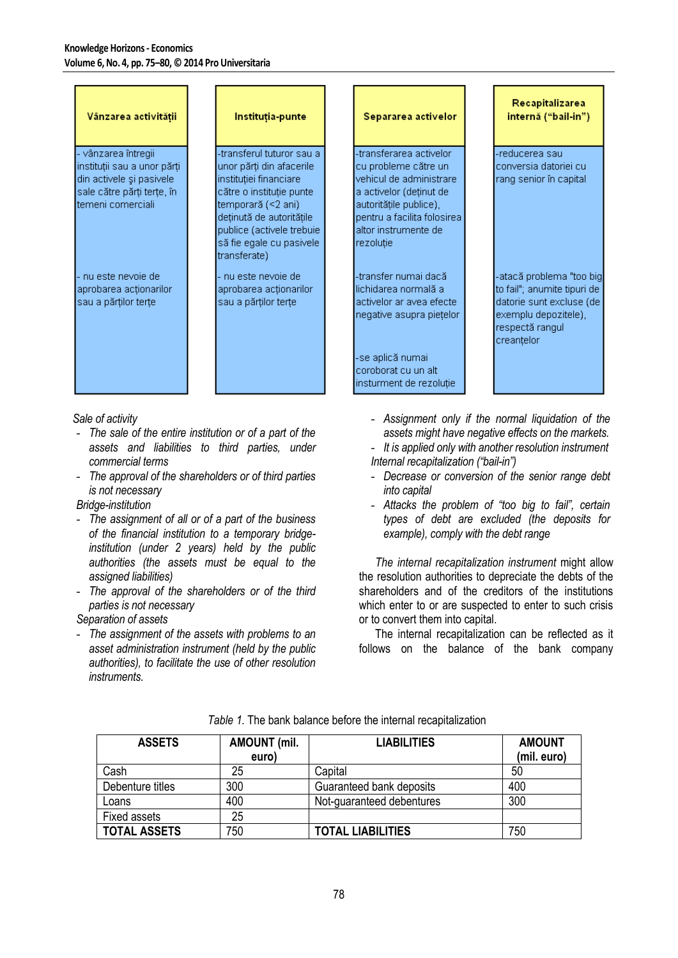| Vânzarea activității                                                                                                            | Instituția-punte                                                                                                                                                                                                                        | Separarea activelor                                                                                                                                                                                  | Recapitalizarea<br>internă ("bail-in")                                                                                                        |
|---------------------------------------------------------------------------------------------------------------------------------|-----------------------------------------------------------------------------------------------------------------------------------------------------------------------------------------------------------------------------------------|------------------------------------------------------------------------------------------------------------------------------------------------------------------------------------------------------|-----------------------------------------------------------------------------------------------------------------------------------------------|
| vânzarea întregii<br>instituții sau a unor părți<br>din activele și pasivele<br>sale către părți terțe, în<br>temeni comerciali | -transferul tuturor sau a<br>unor părți din afacerile<br>instituției financiare<br>către o instituție punte<br>temporară (<2 ani).<br>deținută de autoritățile<br>publice (activele trebuie<br>să fie egale cu pasivele<br>transferate) | -transferarea activelor<br>cu probleme către un<br>vehicul de administrare.<br>a activelor (deținut de<br>autoritățile publice),<br>pentru a facilita folosirea<br>altor instrumente de<br>rezolutie | -reducerea saul<br>conversia datoriei cu<br>rang senior în capital                                                                            |
| - nu este nevoie del<br>aprobarea actionarilor<br>sau a părților terțe                                                          | - nu este nevoie de<br>aprobarea actionarilor<br>sau a părților terțe                                                                                                                                                                   | -transfer numai dacă<br>llichidarea normală a<br>activelor ar avea efecte<br>negative asupra pietelor<br>-se aplică numai:<br>coroborat cu un alt<br>insturment de rezoluție                         | -atacă problema "too big <br>to fail"; anumite tipuri de<br>datorie sunt excluse (de<br>exemplu depozitele),<br>respectă rangul<br>creantelor |

*Sale of activity*

- *The sale of the entire institution or of a part of the assets and liabilities to third parties, under commercial terms*
- *The approval of the shareholders or of third parties is not necessary*

# *Bridge-institution*

- *The assignment of all or of a part of the business of the financial institution to a temporary bridgeinstitution (under 2 years) held by the public authorities (the assets must be equal to the assigned liabilities)*
- *The approval of the shareholders or of the third parties is not necessary*

## *Separation of assets*

- *The assignment of the assets with problems to an asset administration instrument (held by the public authorities), to facilitate the use of other resolution instruments.* 

- *Assignment only if the normal liquidation of the assets might have negative effects on the markets.*
- *It is applied only with another resolution instrument Internal recapitalization ("bail-in")*
- *Decrease or conversion of the senior range debt into capital*
- *Attacks the problem of "too big to fail", certain types of debt are excluded (the deposits for example), comply with the debt range*

*The internal recapitalization instrument* might allow the resolution authorities to depreciate the debts of the shareholders and of the creditors of the institutions which enter to or are suspected to enter to such crisis or to convert them into capital.

The internal recapitalization can be reflected as it follows on the balance of the bank company

| <b>ASSETS</b>       | <b>AMOUNT</b> (mil.<br>euro) | <b>LIABILITIES</b>        | <b>AMOUNT</b><br>(mil. euro) |
|---------------------|------------------------------|---------------------------|------------------------------|
| Cash                | 25                           | Capital                   | 50                           |
| Debenture titles    | 300                          | Guaranteed bank deposits  | 400                          |
| Loans               | 400                          | Not-guaranteed debentures | 300                          |
| <b>Fixed assets</b> | 25                           |                           |                              |
| <b>TOTAL ASSETS</b> | 750                          | <b>TOTAL LIABILITIES</b>  | 750                          |

## *Table 1.* The bank balance before the internal recapitalization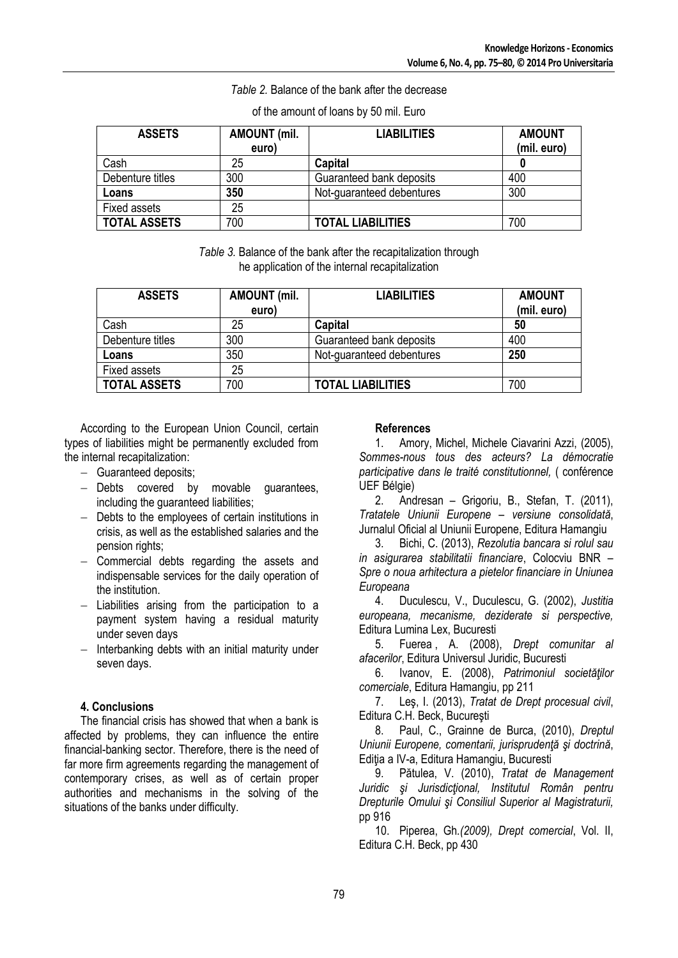## *Table 2.* Balance of the bank after the decrease

| <b>ASSETS</b>       | <b>AMOUNT</b> (mil.<br>euro) | <b>LIABILITIES</b>        | <b>AMOUNT</b><br>(mil. euro) |
|---------------------|------------------------------|---------------------------|------------------------------|
| Cash                | 25                           | Capital                   |                              |
| Debenture titles    | 300                          | Guaranteed bank deposits  | 400                          |
| Loans               | 350                          | Not-guaranteed debentures | 300                          |
| Fixed assets        | 25                           |                           |                              |
| <b>TOTAL ASSETS</b> | 700                          | <b>TOTAL LIABILITIES</b>  | 700                          |

## of the amount of loans by 50 mil. Euro

*Table 3.* Balance of the bank after the recapitalization through he application of the internal recapitalization

| <b>ASSETS</b>       | <b>AMOUNT (mil.</b><br>euro) | <b>LIABILITIES</b>        | <b>AMOUNT</b><br>(mil. euro) |
|---------------------|------------------------------|---------------------------|------------------------------|
| Cash                | 25                           | Capital                   | 50                           |
| Debenture titles    | 300                          | Guaranteed bank deposits  | 400                          |
| Loans               | 350                          | Not-guaranteed debentures | 250                          |
| Fixed assets        | 25                           |                           |                              |
| <b>TOTAL ASSETS</b> | 700                          | <b>TOTAL LIABILITIES</b>  | 700                          |

According to the European Union Council, certain types of liabilities might be permanently excluded from the internal recapitalization:

- Guaranteed deposits;
- $-$  Debts covered by movable guarantees, including the guaranteed liabilities;
- Debts to the employees of certain institutions in crisis, as well as the established salaries and the pension rights;
- Commercial debts regarding the assets and indispensable services for the daily operation of the institution.
- $-$  Liabilities arising from the participation to a payment system having a residual maturity under seven days
- $-$  Interbanking debts with an initial maturity under seven days.

# **4. Conclusions**

The financial crisis has showed that when a bank is affected by problems, they can influence the entire financial-banking sector. Therefore, there is the need of far more firm agreements regarding the management of contemporary crises, as well as of certain proper authorities and mechanisms in the solving of the situations of the banks under difficulty.

## **References**

1. Amory, Michel, Michele Ciavarini Azzi, (2005), *Sommes-nous tous des acteurs? La démocratie participative dans le traité constitutionnel,* ( conférence UEF Bélgie)

2. Andresan – Grigoriu, B., Stefan, T. (2011), *Tratatele Uniunii Europene – versiune consolidată*, Jurnalul Oficial al Uniunii Europene, Editura Hamangiu

3. Bichi, C. (2013), *Rezolutia bancara si rolul sau in asigurarea stabilitatii financiare*, Colocviu BNR – *Spre o noua arhitectura a pietelor financiare in Uniunea Europeana*

4. Duculescu, V., Duculescu, G. (2002), *Justitia europeana, mecanisme, deziderate si perspective,* Editura Lumina Lex, Bucuresti

5. Fuerea , A. (2008), *Drept comunitar al afacerilor*, Editura Universul Juridic, Bucuresti

6. Ivanov, E. (2008), *Patrimoniul societăţilor comerciale*, Editura Hamangiu, pp 211

7. Leş, I. (2013), *Tratat de Drept procesual civil*, Editura C.H. Beck, Bucureşti

8. Paul, C., Grainne de Burca, (2010), *Dreptul Uniunii Europene, comentarii, jurisprudenţă şi doctrină*, Ediția a IV-a, Editura Hamangiu, Bucuresti

9. Pătulea, V. (2010), *Tratat de Management Juridic şi Jurisdicţional, Institutul Român pentru Drepturile Omului şi Consiliul Superior al Magistraturii,*  pp 916

10. Piperea, Gh*.(2009), Drept comercial*, Vol. II, Editura C.H. Beck, pp 430